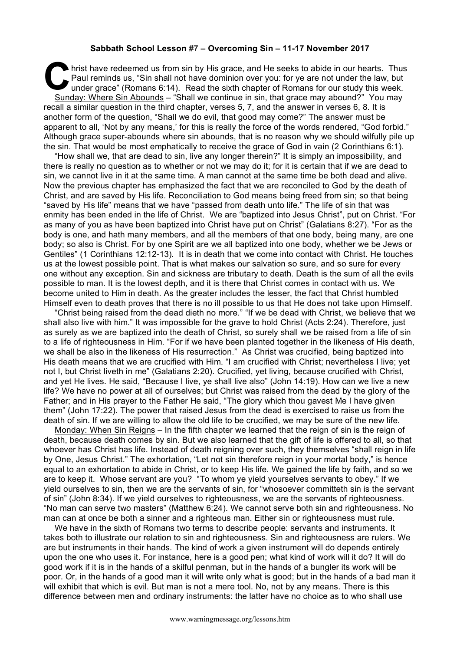## **Sabbath School Lesson #7 – Overcoming Sin – 11-17 November 2017**

hrist have redeemed us from sin by His grace, and He seeks to abide in our hearts. Thus<br>
Paul reminds us, "Sin shall not have dominion over you: for ye are not under the law, but<br>
under grace" (Romans 6:14). Read the sixth Paul reminds us, "Sin shall not have dominion over you: for ye are not under the law, but under grace" (Romans 6:14). Read the sixth chapter of Romans for our study this week. Sunday: Where Sin Abounds – "Shall we continue in sin, that grace may abound?" You may recall a similar question in the third chapter, verses 5, 7, and the answer in verses 6, 8. It is another form of the question, "Shall we do evil, that good may come?" The answer must be apparent to all, 'Not by any means,' for this is really the force of the words rendered, "God forbid." Although grace super-abounds where sin abounds, that is no reason why we should wilfully pile up the sin. That would be most emphatically to receive the grace of God in vain (2 Corinthians 6:1).

"How shall we, that are dead to sin, live any longer therein?" It is simply an impossibility, and there is really no question as to whether or not we may do it; for it is certain that if we are dead to sin, we cannot live in it at the same time. A man cannot at the same time be both dead and alive. Now the previous chapter has emphasized the fact that we are reconciled to God by the death of Christ, and are saved by His life. Reconciliation to God means being freed from sin; so that being "saved by His life" means that we have "passed from death unto life." The life of sin that was enmity has been ended in the life of Christ. We are "baptized into Jesus Christ", put on Christ. "For as many of you as have been baptized into Christ have put on Christ" (Galatians 8:27). "For as the body is one, and hath many members, and all the members of that one body, being many, are one body; so also is Christ. For by one Spirit are we all baptized into one body, whether we be Jews or Gentiles" (1 Corinthians 12:12-13). It is in death that we come into contact with Christ. He touches us at the lowest possible point. That is what makes our salvation so sure, and so sure for every one without any exception. Sin and sickness are tributary to death. Death is the sum of all the evils possible to man. It is the lowest depth, and it is there that Christ comes in contact with us. We become united to Him in death. As the greater includes the lesser, the fact that Christ humbled Himself even to death proves that there is no ill possible to us that He does not take upon Himself.

"Christ being raised from the dead dieth no more." "If we be dead with Christ, we believe that we shall also live with him." It was impossible for the grave to hold Christ (Acts 2:24). Therefore, just as surely as we are baptized into the death of Christ, so surely shall we be raised from a life of sin to a life of righteousness in Him. "For if we have been planted together in the likeness of His death, we shall be also in the likeness of His resurrection." As Christ was crucified, being baptized into His death means that we are crucified with Him. "I am crucified with Christ; nevertheless I live; yet not I, but Christ liveth in me" (Galatians 2:20). Crucified, yet living, because crucified with Christ, and yet He lives. He said, "Because I live, ye shall live also" (John 14:19). How can we live a new life? We have no power at all of ourselves; but Christ was raised from the dead by the glory of the Father; and in His prayer to the Father He said, "The glory which thou gavest Me I have given them" (John 17:22). The power that raised Jesus from the dead is exercised to raise us from the death of sin. If we are willing to allow the old life to be crucified, we may be sure of the new life.

Monday: When Sin Reigns - In the fifth chapter we learned that the reign of sin is the reign of death, because death comes by sin. But we also learned that the gift of life is offered to all, so that whoever has Christ has life. Instead of death reigning over such, they themselves "shall reign in life by One, Jesus Christ." The exhortation, "Let not sin therefore reign in your mortal body," is hence equal to an exhortation to abide in Christ, or to keep His life. We gained the life by faith, and so we are to keep it. Whose servant are you? "To whom ye yield yourselves servants to obey." If we yield ourselves to sin, then we are the servants of sin, for "whosoever committeth sin is the servant of sin" (John 8:34). If we yield ourselves to righteousness, we are the servants of righteousness. "No man can serve two masters" (Matthew 6:24). We cannot serve both sin and righteousness. No man can at once be both a sinner and a righteous man. Either sin or righteousness must rule.

We have in the sixth of Romans two terms to describe people: servants and instruments. It takes both to illustrate our relation to sin and righteousness. Sin and righteousness are rulers. We are but instruments in their hands. The kind of work a given instrument will do depends entirely upon the one who uses it. For instance, here is a good pen; what kind of work will it do? It will do good work if it is in the hands of a skilful penman, but in the hands of a bungler its work will be poor. Or, in the hands of a good man it will write only what is good; but in the hands of a bad man it will exhibit that which is evil. But man is not a mere tool. No, not by any means. There is this difference between men and ordinary instruments: the latter have no choice as to who shall use